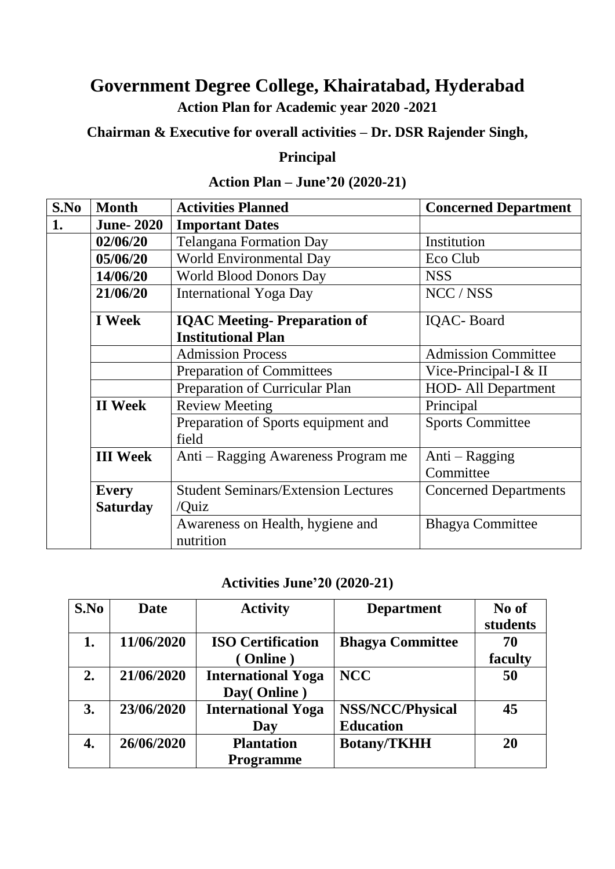#### **Government Degree College, Khairatabad, Hyderabad Action Plan for Academic year 2020 -2021**

**Chairman & Executive for overall activities – Dr. DSR Rajender Singh,** 

#### **Principal**

#### **S.No Month Activities Planned Concerned Department 1. June- 2020 Important Dates 02/06/20** Telangana Formation Day Institution **05/06/20** World Environmental Day Eco Club **14/06/20** World Blood Donors Day NSS **21/06/20** International Yoga Day NCC / NSS **I Week IQAC Meeting- Preparation of Institutional Plan** IQAC- Board Admission Process Admission Committee Preparation of Committees Vice-Principal-I & II Preparation of Curricular Plan HOD- All Department **II Week** Review Meeting Principal Preparation of Sports equipment and field Sports Committee **III Week** Anti – Ragging Awareness Program me Anti – Ragging **Committee Every Saturday** Student Seminars/Extension Lectures /Quiz Concerned Departments Awareness on Health, hygiene and nutrition Bhagya Committee

#### **Action Plan – June'20 (2020-21)**

#### **Activities June'20 (2020-21)**

| S.No | <b>Date</b> | <b>Activity</b>                          | <b>Department</b>                           | No of<br>students |
|------|-------------|------------------------------------------|---------------------------------------------|-------------------|
| 1.   | 11/06/2020  | <b>ISO Certification</b><br>(Online)     | <b>Bhagya Committee</b>                     | 70<br>faculty     |
| 2.   | 21/06/2020  | <b>International Yoga</b><br>Day(Online) | <b>NCC</b>                                  | 50                |
| 3.   | 23/06/2020  | <b>International Yoga</b><br>Day         | <b>NSS/NCC/Physical</b><br><b>Education</b> | 45                |
| 4.   | 26/06/2020  | <b>Plantation</b><br><b>Programme</b>    | <b>Botany/TKHH</b>                          | 20                |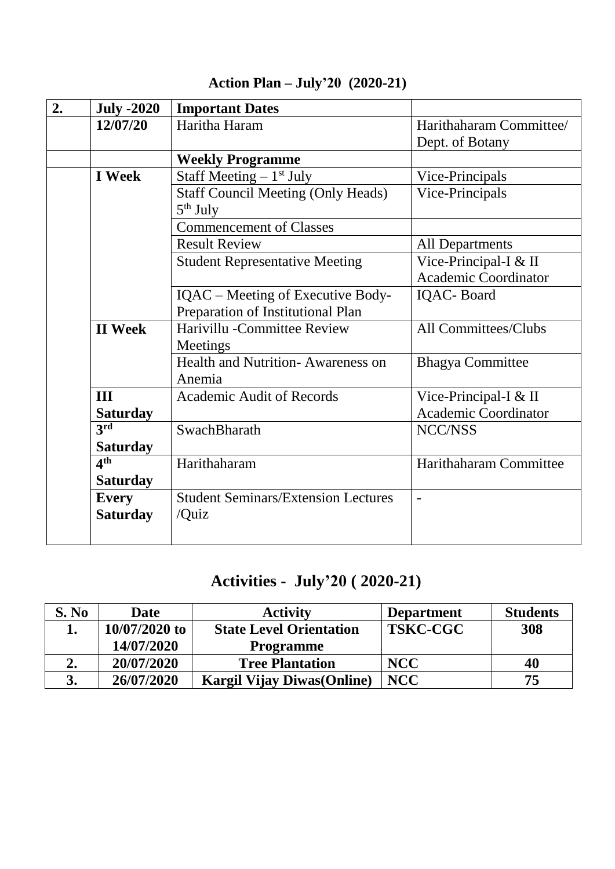| <b>July -2020</b> | <b>Important Dates</b>                                  |                             |
|-------------------|---------------------------------------------------------|-----------------------------|
| 12/07/20          | Haritha Haram                                           | Harithaharam Committee/     |
|                   |                                                         | Dept. of Botany             |
|                   | <b>Weekly Programme</b>                                 |                             |
| <b>I</b> Week     | Staff Meeting $-1st$ July                               | Vice-Principals             |
|                   | <b>Staff Council Meeting (Only Heads)</b><br>$5th$ July | Vice-Principals             |
|                   | <b>Commencement of Classes</b>                          |                             |
|                   | <b>Result Review</b>                                    | <b>All Departments</b>      |
|                   | <b>Student Representative Meeting</b>                   | Vice-Principal-I & II       |
|                   |                                                         | <b>Academic Coordinator</b> |
|                   | IQAC – Meeting of Executive Body-                       | <b>IQAC-Board</b>           |
|                   | Preparation of Institutional Plan                       |                             |
| <b>II</b> Week    | Harivillu - Committee Review                            | All Committees/Clubs        |
|                   | Meetings                                                |                             |
|                   | Health and Nutrition-Awareness on                       | <b>Bhagya Committee</b>     |
|                   | Anemia                                                  |                             |
| III               | <b>Academic Audit of Records</b>                        | Vice-Principal-I & II       |
| <b>Saturday</b>   |                                                         | <b>Academic Coordinator</b> |
| 3 <sup>rd</sup>   | SwachBharath                                            | NCC/NSS                     |
| <b>Saturday</b>   |                                                         |                             |
| 4 <sup>th</sup>   | Harithaharam                                            | Harithaharam Committee      |
| <b>Saturday</b>   |                                                         |                             |
| <b>Every</b>      | <b>Student Seminars/Extension Lectures</b>              | $\qquad \qquad -$           |
| <b>Saturday</b>   | /Quiz                                                   |                             |
|                   |                                                         |                             |

#### **Action Plan – July'20 (2020-21)**

## **Activities - July'20 ( 2020-21)**

| S. No | <b>Date</b>     | <b>Activity</b>                    | <b>Department</b> | <b>Students</b> |
|-------|-----------------|------------------------------------|-------------------|-----------------|
|       | $10/07/2020$ to | <b>State Level Orientation</b>     | <b>TSKC-CGC</b>   | 308             |
|       | 14/07/2020      | <b>Programme</b>                   |                   |                 |
| 2.    | 20/07/2020      | <b>Tree Plantation</b>             | <b>NCC</b>        | 40              |
|       | 26/07/2020      | <b>Kargil Vijay Diwas (Online)</b> | <b>NCC</b>        | 75              |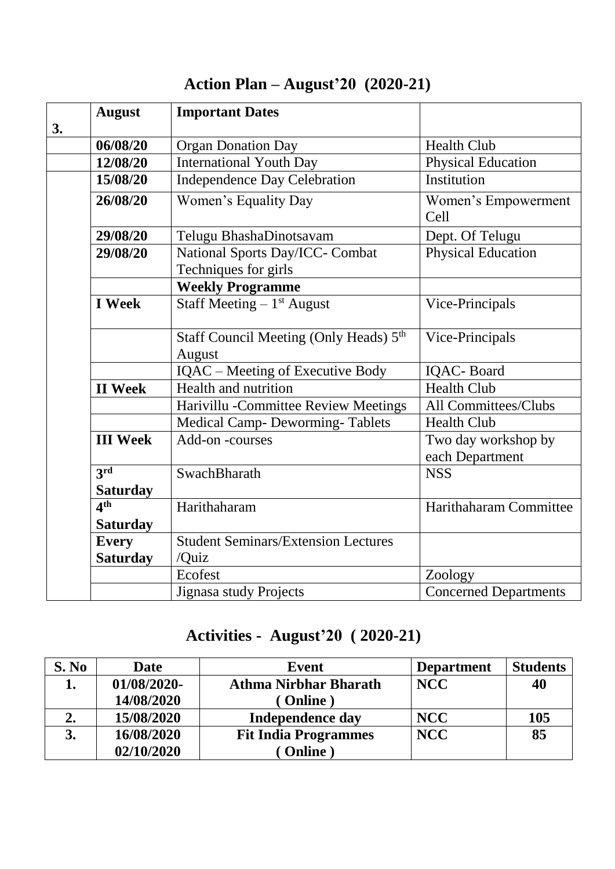| <b>August</b><br>3. | <b>Important Dates</b>                                       |                                        |
|---------------------|--------------------------------------------------------------|----------------------------------------|
| 06/08/20            | <b>Organ Donation Day</b>                                    | <b>Health Club</b>                     |
| 12/08/20            | <b>International Youth Day</b>                               | <b>Physical Education</b>              |
| 15/08/20            | <b>Independence Day Celebration</b>                          | Institution                            |
| 26/08/20            | Women's Equality Day                                         | Women's Empowerment<br>Cell            |
| 29/08/20            | Telugu BhashaDinotsavam                                      | Dept. Of Telugu                        |
| 29/08/20            | National Sports Day/ICC- Combat<br>Techniques for girls      | <b>Physical Education</b>              |
|                     | <b>Weekly Programme</b>                                      |                                        |
| <b>I</b> Week       | Staff Meeting $-1$ <sup>st</sup> August                      | Vice-Principals                        |
|                     | Staff Council Meeting (Only Heads) 5 <sup>th</sup><br>August | Vice-Principals                        |
|                     | IQAC - Meeting of Executive Body                             | IQAC-Board                             |
| <b>II</b> Week      | Health and nutrition                                         | <b>Health Club</b>                     |
|                     | Harivillu - Committee Review Meetings                        | All Committees/Clubs                   |
|                     | <b>Medical Camp- Deworming-Tablets</b>                       | <b>Health Club</b>                     |
| <b>III Week</b>     | Add-on-courses                                               | Two day workshop by<br>each Department |
| 3rd                 | SwachBharath                                                 | <b>NSS</b>                             |
| <b>Saturday</b>     |                                                              |                                        |
| 4 <sup>th</sup>     | Harithaharam                                                 | Harithaharam Committee                 |
| <b>Saturday</b>     |                                                              |                                        |
| <b>Every</b>        | <b>Student Seminars/Extension Lectures</b>                   |                                        |
| <b>Saturday</b>     | /Quiz                                                        |                                        |
|                     | Ecofest                                                      | Zoology                                |
|                     | Jignasa study Projects                                       | <b>Concerned Departments</b>           |

## **Action Plan – August'20 (2020-21)**

## **Activities - August'20 ( 2020-21)**

| S. No | <b>Date</b> | <b>Event</b>                 | <b>Department</b> | <b>Students</b> |
|-------|-------------|------------------------------|-------------------|-----------------|
|       | 01/08/2020- | <b>Athma Nirbhar Bharath</b> | <b>NCC</b>        | 40              |
|       | 14/08/2020  | (Online)                     |                   |                 |
| 2.    | 15/08/2020  | Independence day             | <b>NCC</b>        | 105             |
| 3.    | 16/08/2020  | <b>Fit India Programmes</b>  | <b>NCC</b>        | 85              |
|       | 02/10/2020  | Online                       |                   |                 |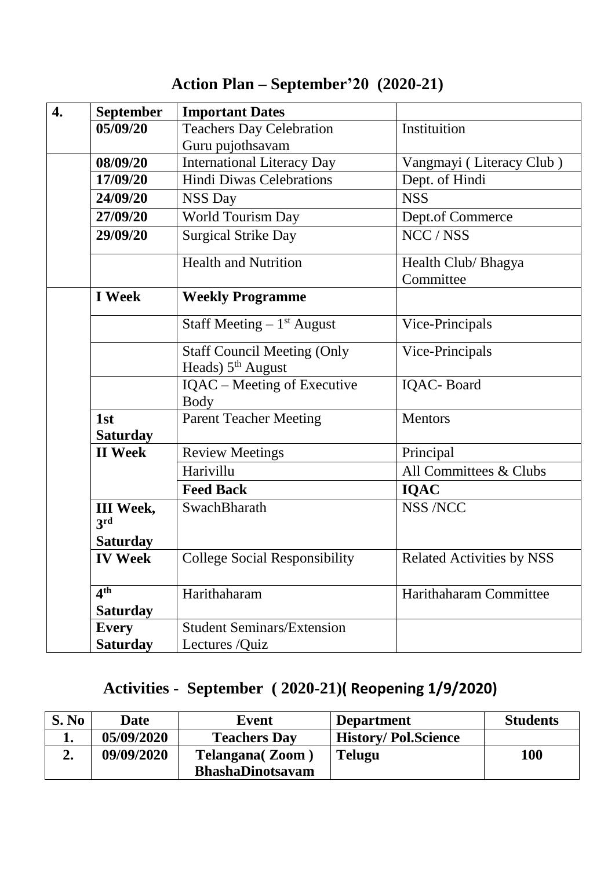| <b>September</b>        | <b>Important Dates</b>                     |                                  |
|-------------------------|--------------------------------------------|----------------------------------|
| 05/09/20                | <b>Teachers Day Celebration</b>            | Instituition                     |
|                         | Guru pujothsavam                           |                                  |
| 08/09/20                | <b>International Literacy Day</b>          | Vangmayi (Literacy Club)         |
| 17/09/20                | <b>Hindi Diwas Celebrations</b>            | Dept. of Hindi                   |
| 24/09/20                | <b>NSS Day</b>                             | <b>NSS</b>                       |
| 27/09/20                | <b>World Tourism Day</b>                   | Dept.of Commerce                 |
| 29/09/20                | <b>Surgical Strike Day</b>                 | NCC / NSS                        |
|                         | <b>Health and Nutrition</b>                | Health Club/ Bhagya              |
|                         |                                            | Committee                        |
| <b>I</b> Week           | <b>Weekly Programme</b>                    |                                  |
|                         | Staff Meeting $-1$ <sup>st</sup> August    | Vice-Principals                  |
|                         | <b>Staff Council Meeting (Only</b>         | Vice-Principals                  |
|                         | Heads) 5 <sup>th</sup> August              |                                  |
|                         | IQAC - Meeting of Executive<br><b>Body</b> | <b>IQAC-Board</b>                |
| 1st                     | <b>Parent Teacher Meeting</b>              | <b>Mentors</b>                   |
| <b>Saturday</b>         |                                            |                                  |
| <b>II</b> Week          | <b>Review Meetings</b>                     | Principal                        |
|                         | Harivillu                                  | All Committees & Clubs           |
|                         | <b>Feed Back</b>                           | <b>IQAC</b>                      |
| <b>III</b> Week,<br>3rd | SwachBharath                               | <b>NSS /NCC</b>                  |
| <b>Saturday</b>         |                                            |                                  |
| <b>IV Week</b>          | <b>College Social Responsibility</b>       | <b>Related Activities by NSS</b> |
| 4 <sup>th</sup>         | Harithaharam                               | Harithaharam Committee           |
| <b>Saturday</b>         |                                            |                                  |
| <b>Every</b>            | <b>Student Seminars/Extension</b>          |                                  |
| <b>Saturday</b>         | Lectures /Quiz                             |                                  |

# **Action Plan – September'20 (2020-21)**

### **Activities - September ( 2020-21)( Reopening 1/9/2020)**

| S. No | Date       | Event                   | <b>Department</b>          | <b>Students</b> |
|-------|------------|-------------------------|----------------------------|-----------------|
|       | 05/09/2020 | <b>Teachers Day</b>     | <b>History/Pol.Science</b> |                 |
|       | 09/09/2020 | <b>Telangana</b> (Zoom) | <b>Telugu</b>              | <b>100</b>      |
|       |            | <b>BhashaDinotsavam</b> |                            |                 |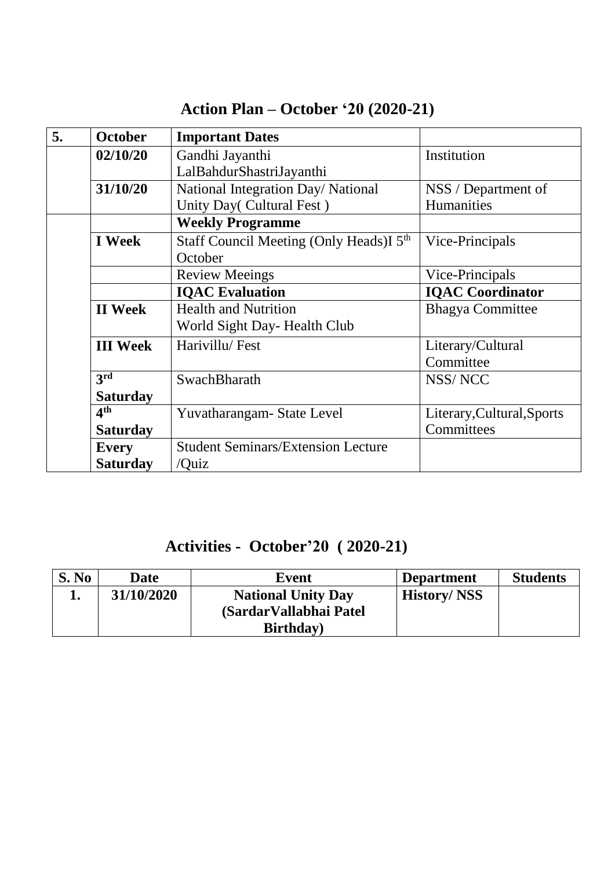| 5. | <b>October</b>  | <b>Important Dates</b>                              |                            |
|----|-----------------|-----------------------------------------------------|----------------------------|
|    | 02/10/20        | Gandhi Jayanthi                                     | Institution                |
|    |                 | LalBahdurShastriJayanthi                            |                            |
|    | 31/10/20        | National Integration Day/ National                  | NSS / Department of        |
|    |                 | Unity Day( Cultural Fest)                           | Humanities                 |
|    |                 | <b>Weekly Programme</b>                             |                            |
|    | <b>I</b> Week   | Staff Council Meeting (Only Heads)I 5 <sup>th</sup> | Vice-Principals            |
|    |                 | October                                             |                            |
|    |                 | <b>Review Meeings</b>                               | Vice-Principals            |
|    |                 | <b>IQAC</b> Evaluation                              | <b>IQAC</b> Coordinator    |
|    | <b>II</b> Week  | <b>Health and Nutrition</b>                         | <b>Bhagya Committee</b>    |
|    |                 | World Sight Day- Health Club                        |                            |
|    | <b>III</b> Week | Harivillu/Fest                                      | Literary/Cultural          |
|    |                 |                                                     | Committee                  |
|    | 3rd             | SwachBharath                                        | NSS/NCC                    |
|    | <b>Saturday</b> |                                                     |                            |
|    | 4 <sup>th</sup> | Yuvatharangam-State Level                           | Literary, Cultural, Sports |
|    | <b>Saturday</b> |                                                     | Committees                 |
|    | <b>Every</b>    | <b>Student Seminars/Extension Lecture</b>           |                            |
|    | <b>Saturday</b> | /Quiz                                               |                            |

#### **Action Plan – October '20 (2020-21)**

#### **Activities - October'20 ( 2020-21)**

| S. No | <b>Date</b> | Event                     | <b>Department</b>  | <b>Students</b> |
|-------|-------------|---------------------------|--------------------|-----------------|
|       | 31/10/2020  | <b>National Unity Day</b> | <b>History/NSS</b> |                 |
|       |             | (Sardar Vallabhai Patel)  |                    |                 |
|       |             | <b>Birthday</b> )         |                    |                 |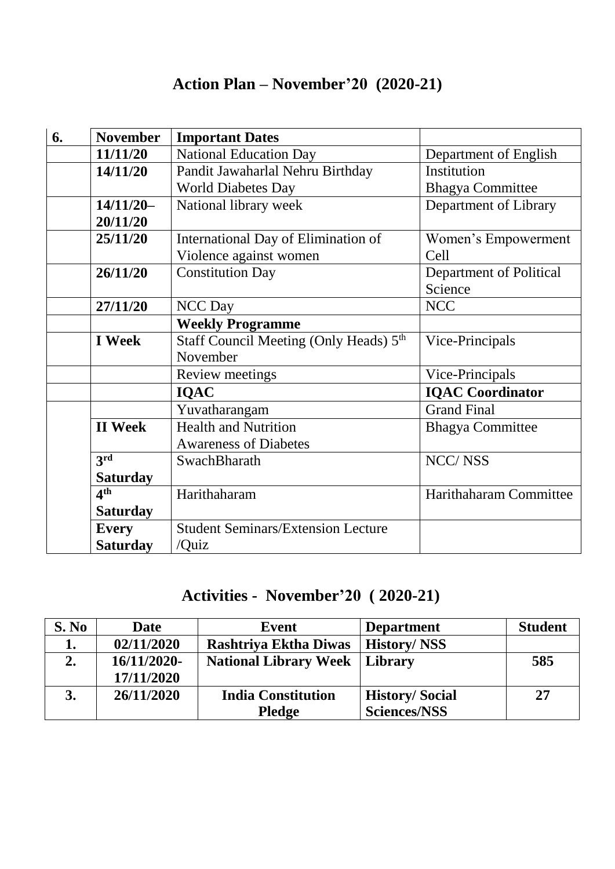#### **Action Plan – November'20 (2020-21)**

| 6. | <b>November</b>            | <b>Important Dates</b>                             |                         |
|----|----------------------------|----------------------------------------------------|-------------------------|
|    | 11/11/20                   | <b>National Education Day</b>                      | Department of English   |
|    | 14/11/20                   | Pandit Jawaharlal Nehru Birthday                   | Institution             |
|    |                            | <b>World Diabetes Day</b>                          | <b>Bhagya Committee</b> |
|    | $14/11/20-$                | National library week                              | Department of Library   |
|    | 20/11/20                   |                                                    |                         |
|    | 25/11/20                   | International Day of Elimination of                | Women's Empowerment     |
|    |                            | Violence against women                             | Cell                    |
|    | 26/11/20                   | <b>Constitution Day</b>                            | Department of Political |
|    |                            |                                                    | Science                 |
|    | 27/11/20                   | <b>NCC Day</b>                                     | <b>NCC</b>              |
|    |                            | <b>Weekly Programme</b>                            |                         |
|    | <b>I</b> Week              | Staff Council Meeting (Only Heads) 5 <sup>th</sup> | Vice-Principals         |
|    |                            | November                                           |                         |
|    |                            | Review meetings                                    | Vice-Principals         |
|    |                            | <b>IQAC</b>                                        | <b>IQAC</b> Coordinator |
|    |                            | Yuvatharangam                                      | <b>Grand Final</b>      |
|    | <b>II</b> Week             | <b>Health and Nutrition</b>                        | <b>Bhagya Committee</b> |
|    |                            | <b>Awareness of Diabetes</b>                       |                         |
|    | $3^{\overline{\text{rd}}}$ | SwachBharath                                       | <b>NCC/NSS</b>          |
|    | <b>Saturday</b>            |                                                    |                         |
|    | 4 <sup>th</sup>            | Harithaharam                                       | Harithaharam Committee  |
|    | <b>Saturday</b>            |                                                    |                         |
|    | <b>Every</b>               | <b>Student Seminars/Extension Lecture</b>          |                         |
|    | <b>Saturday</b>            | /Quiz                                              |                         |

## **Activities - November'20 ( 2020-21)**

| S. No | <b>Date</b> | Event                        | <b>Department</b>     | <b>Student</b> |
|-------|-------------|------------------------------|-----------------------|----------------|
| 1.    | 02/11/2020  | <b>Rashtriya Ektha Diwas</b> | <b>History/NSS</b>    |                |
| 2.    | 16/11/2020- | <b>National Library Week</b> | Library               | 585            |
|       | 17/11/2020  |                              |                       |                |
|       | 26/11/2020  | <b>India Constitution</b>    | <b>History/Social</b> | 27             |
|       |             | <b>Pledge</b>                | <b>Sciences/NSS</b>   |                |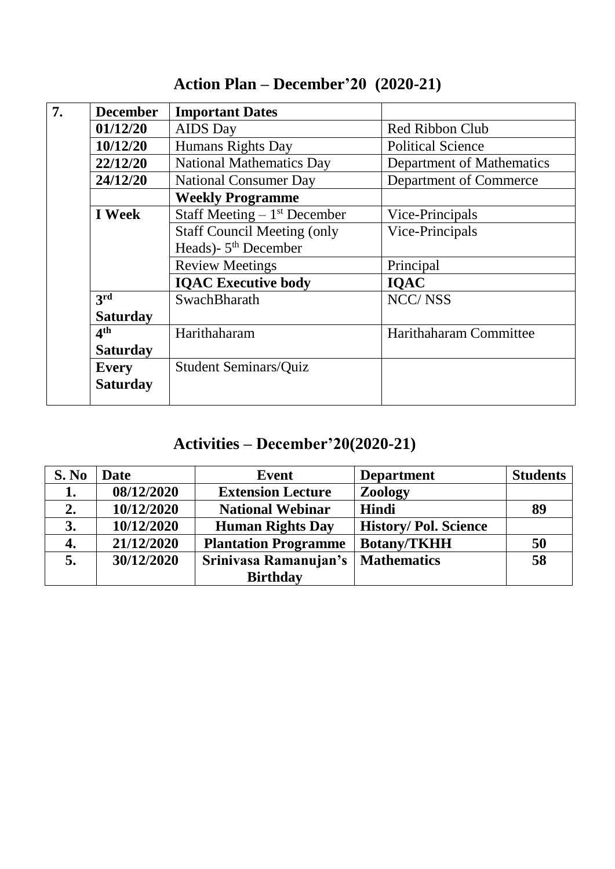| 7. | <b>December</b> | <b>Important Dates</b>             |                           |
|----|-----------------|------------------------------------|---------------------------|
|    | 01/12/20        | <b>AIDS</b> Day                    | <b>Red Ribbon Club</b>    |
|    | 10/12/20        | <b>Humans Rights Day</b>           | <b>Political Science</b>  |
|    | 22/12/20        | <b>National Mathematics Day</b>    | Department of Mathematics |
|    | 24/12/20        | <b>National Consumer Day</b>       | Department of Commerce    |
|    |                 | <b>Weekly Programme</b>            |                           |
|    | <b>I</b> Week   | Staff Meeting $-1st$ December      | Vice-Principals           |
|    |                 | <b>Staff Council Meeting (only</b> | Vice-Principals           |
|    |                 | Heads)- 5 <sup>th</sup> December   |                           |
|    |                 | <b>Review Meetings</b>             | Principal                 |
|    |                 | <b>IQAC Executive body</b>         | <b>IQAC</b>               |
|    | 3rd             | SwachBharath                       | <b>NCC/NSS</b>            |
|    | <b>Saturday</b> |                                    |                           |
|    | 4 <sup>th</sup> | Harithaharam                       | Harithaharam Committee    |
|    | <b>Saturday</b> |                                    |                           |
|    | <b>Every</b>    | <b>Student Seminars/Quiz</b>       |                           |
|    | <b>Saturday</b> |                                    |                           |

#### **Action Plan – December'20 (2020-21)**

#### **Activities – December'20(2020-21)**

| S. No | <b>Date</b> | <b>Event</b>                | <b>Department</b>           | <b>Students</b> |
|-------|-------------|-----------------------------|-----------------------------|-----------------|
| 1.    | 08/12/2020  | <b>Extension Lecture</b>    | Zoology                     |                 |
| 2.    | 10/12/2020  | <b>National Webinar</b>     | Hindi                       | 89              |
| 3.    | 10/12/2020  | <b>Human Rights Day</b>     | <b>History/Pol. Science</b> |                 |
| 4.    | 21/12/2020  | <b>Plantation Programme</b> | <b>Botany/TKHH</b>          | 50              |
| 5.    | 30/12/2020  | Srinivasa Ramanujan's       | <b>Mathematics</b>          | 58              |
|       |             | <b>Birthday</b>             |                             |                 |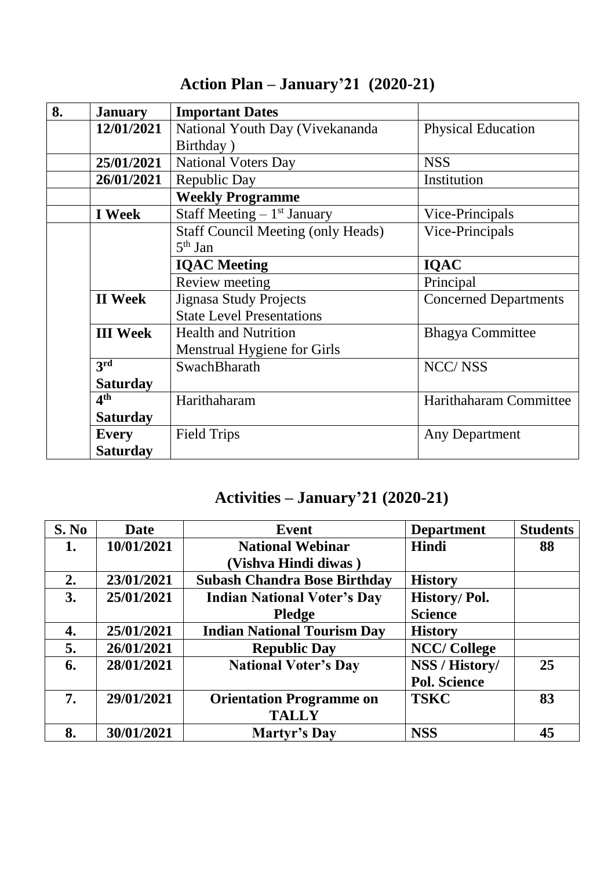| 8. | <b>January</b>  | <b>Important Dates</b>                    |                              |
|----|-----------------|-------------------------------------------|------------------------------|
|    | 12/01/2021      | National Youth Day (Vivekananda           | <b>Physical Education</b>    |
|    |                 | Birthday)                                 |                              |
|    | 25/01/2021      | <b>National Voters Day</b>                | <b>NSS</b>                   |
|    | 26/01/2021      | Republic Day                              | Institution                  |
|    |                 | <b>Weekly Programme</b>                   |                              |
|    | <b>I</b> Week   | Staff Meeting $-1$ <sup>st</sup> January  | Vice-Principals              |
|    |                 | <b>Staff Council Meeting (only Heads)</b> | Vice-Principals              |
|    |                 | $5th$ Jan                                 |                              |
|    |                 | <b>IQAC</b> Meeting                       | <b>IQAC</b>                  |
|    |                 | Review meeting                            | Principal                    |
|    | <b>II</b> Week  | <b>Jignasa Study Projects</b>             | <b>Concerned Departments</b> |
|    |                 | <b>State Level Presentations</b>          |                              |
|    | <b>III</b> Week | <b>Health and Nutrition</b>               | <b>Bhagya Committee</b>      |
|    |                 | <b>Menstrual Hygiene for Girls</b>        |                              |
|    | 3rd             | SwachBharath                              | <b>NCC/NSS</b>               |
|    | <b>Saturday</b> |                                           |                              |
|    | 4 <sup>th</sup> | Harithaharam                              | Harithaharam Committee       |
|    | <b>Saturday</b> |                                           |                              |
|    | <b>Every</b>    | <b>Field Trips</b>                        | Any Department               |
|    | <b>Saturday</b> |                                           |                              |

## **Action Plan – January'21 (2020-21)**

### **Activities – January'21 (2020-21)**

| S. No | <b>Date</b> | <b>Event</b>                        | <b>Department</b>   | <b>Students</b> |
|-------|-------------|-------------------------------------|---------------------|-----------------|
| 1.    | 10/01/2021  | <b>National Webinar</b>             | <b>Hindi</b>        | 88              |
|       |             | (Vishva Hindi diwas)                |                     |                 |
| 2.    | 23/01/2021  | <b>Subash Chandra Bose Birthday</b> | <b>History</b>      |                 |
| 3.    | 25/01/2021  | <b>Indian National Voter's Day</b>  | History/Pol.        |                 |
|       |             | <b>Pledge</b>                       | <b>Science</b>      |                 |
| 4.    | 25/01/2021  | <b>Indian National Tourism Day</b>  | <b>History</b>      |                 |
| 5.    | 26/01/2021  | <b>Republic Day</b>                 | <b>NCC/College</b>  |                 |
| 6.    | 28/01/2021  | <b>National Voter's Day</b>         | NSS / History/      | 25              |
|       |             |                                     | <b>Pol. Science</b> |                 |
| 7.    | 29/01/2021  | <b>Orientation Programme on</b>     | <b>TSKC</b>         | 83              |
|       |             | <b>TALLY</b>                        |                     |                 |
| 8.    | 30/01/2021  | Martyr's Day                        | <b>NSS</b>          | 45              |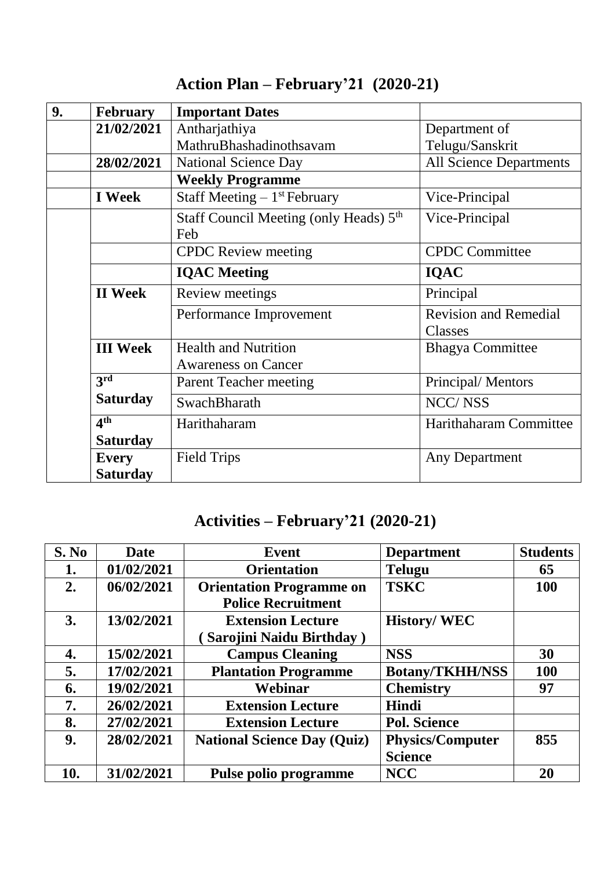| 9. | <b>February</b> | <b>Important Dates</b>                    |                                |
|----|-----------------|-------------------------------------------|--------------------------------|
|    | 21/02/2021      | Antharjathiya                             | Department of                  |
|    |                 | MathruBhashadinothsavam                   | Telugu/Sanskrit                |
|    | 28/02/2021      | <b>National Science Day</b>               | <b>All Science Departments</b> |
|    |                 | <b>Weekly Programme</b>                   |                                |
|    | I Week          | Staff Meeting $-1$ <sup>st</sup> February | Vice-Principal                 |
|    |                 | Staff Council Meeting (only Heads) 5th    | Vice-Principal                 |
|    |                 | Feb                                       |                                |
|    |                 | <b>CPDC</b> Review meeting                | <b>CPDC</b> Committee          |
|    |                 | <b>IQAC</b> Meeting                       | <b>IQAC</b>                    |
|    | <b>II</b> Week  | Review meetings                           | Principal                      |
|    |                 | Performance Improvement                   | <b>Revision and Remedial</b>   |
|    |                 |                                           | Classes                        |
|    | <b>III Week</b> | <b>Health and Nutrition</b>               | <b>Bhagya Committee</b>        |
|    |                 | <b>Awareness on Cancer</b>                |                                |
|    | 3rd             | <b>Parent Teacher meeting</b>             | Principal/Mentors              |
|    | <b>Saturday</b> | SwachBharath                              | NCC/NSS                        |
|    | 4 <sup>th</sup> | Harithaharam                              | Harithaharam Committee         |
|    | <b>Saturday</b> |                                           |                                |
|    | <b>Every</b>    | <b>Field Trips</b>                        | Any Department                 |
|    | <b>Saturday</b> |                                           |                                |

## **Action Plan – February'21 (2020-21)**

## **Activities – February'21 (2020-21)**

| S. No | Date       | <b>Event</b>                       | <b>Department</b>       | <b>Students</b> |
|-------|------------|------------------------------------|-------------------------|-----------------|
| 1.    | 01/02/2021 | <b>Orientation</b>                 | <b>Telugu</b>           | 65              |
| 2.    | 06/02/2021 | <b>Orientation Programme on</b>    | <b>TSKC</b>             | <b>100</b>      |
|       |            | <b>Police Recruitment</b>          |                         |                 |
| 3.    | 13/02/2021 | <b>Extension Lecture</b>           | <b>History/WEC</b>      |                 |
|       |            | Sarojini Naidu Birthday)           |                         |                 |
| 4.    | 15/02/2021 | <b>Campus Cleaning</b>             | <b>NSS</b>              | 30              |
| 5.    | 17/02/2021 | <b>Plantation Programme</b>        | <b>Botany/TKHH/NSS</b>  | 100             |
| 6.    | 19/02/2021 | Webinar                            | <b>Chemistry</b>        | 97              |
| 7.    | 26/02/2021 | <b>Extension Lecture</b>           | Hindi                   |                 |
| 8.    | 27/02/2021 | <b>Extension Lecture</b>           | <b>Pol. Science</b>     |                 |
| 9.    | 28/02/2021 | <b>National Science Day (Quiz)</b> | <b>Physics/Computer</b> | 855             |
|       |            |                                    | <b>Science</b>          |                 |
| 10.   | 31/02/2021 | Pulse polio programme              | <b>NCC</b>              | 20              |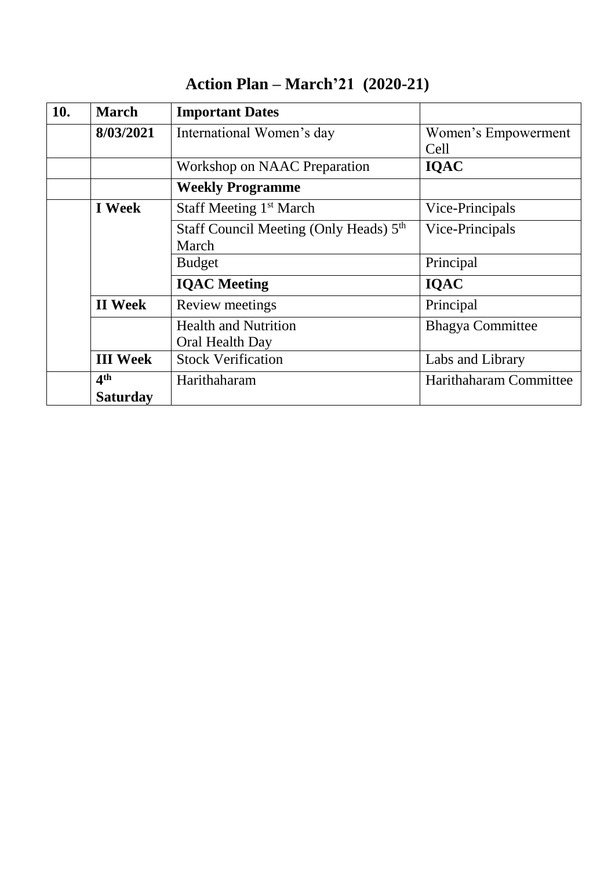| 10. | <b>March</b>                       | <b>Important Dates</b>                                      |                             |
|-----|------------------------------------|-------------------------------------------------------------|-----------------------------|
|     | 8/03/2021                          | International Women's day                                   | Women's Empowerment<br>Cell |
|     |                                    | Workshop on NAAC Preparation                                | <b>IQAC</b>                 |
|     |                                    | <b>Weekly Programme</b>                                     |                             |
|     | <b>I</b> Week                      | Staff Meeting 1 <sup>st</sup> March                         | Vice-Principals             |
|     |                                    | Staff Council Meeting (Only Heads) 5 <sup>th</sup><br>March | Vice-Principals             |
|     |                                    | <b>Budget</b>                                               | Principal                   |
|     |                                    | <b>IQAC</b> Meeting                                         | <b>IQAC</b>                 |
|     | <b>II</b> Week                     | Review meetings                                             | Principal                   |
|     |                                    | <b>Health and Nutrition</b><br>Oral Health Day              | <b>Bhagya Committee</b>     |
|     | <b>III</b> Week                    | <b>Stock Verification</b>                                   | Labs and Library            |
|     | 4 <sup>th</sup><br><b>Saturday</b> | Harithaharam                                                | Harithaharam Committee      |

## **Action Plan – March'21 (2020-21)**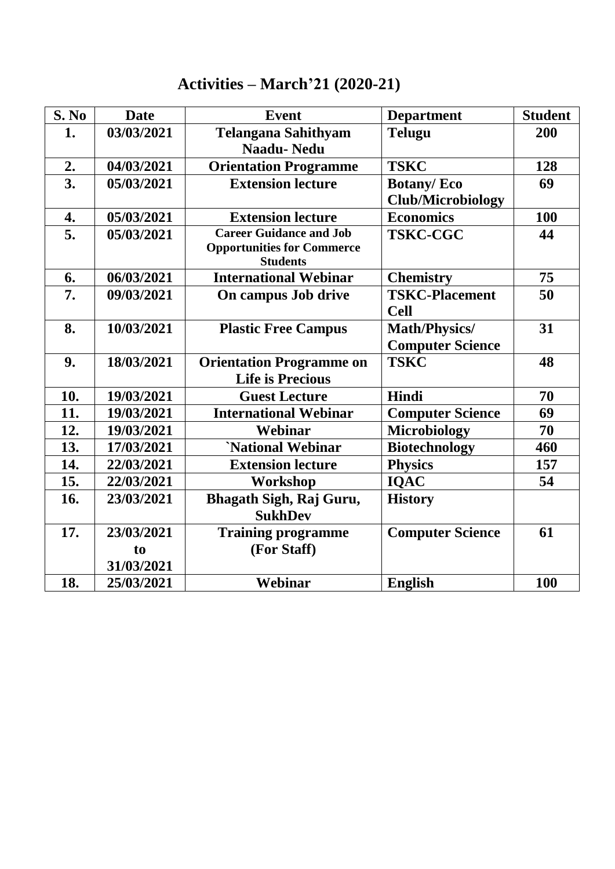### **Activities – March'21 (2020-21)**

| S. No | <b>Date</b> | <b>Event</b>                                         | <b>Department</b>        | <b>Student</b> |
|-------|-------------|------------------------------------------------------|--------------------------|----------------|
| 1.    | 03/03/2021  | <b>Telangana Sahithyam</b>                           | <b>Telugu</b>            | 200            |
|       |             | <b>Naadu-Nedu</b>                                    |                          |                |
| 2.    | 04/03/2021  | <b>Orientation Programme</b>                         | <b>TSKC</b>              | 128            |
| 3.    | 05/03/2021  | <b>Extension lecture</b>                             | <b>Botany/Eco</b>        | 69             |
|       |             |                                                      | <b>Club/Microbiology</b> |                |
| 4.    | 05/03/2021  | <b>Extension lecture</b>                             | <b>Economics</b>         | 100            |
| 5.    | 05/03/2021  | <b>Career Guidance and Job</b>                       | <b>TSKC-CGC</b>          | 44             |
|       |             | <b>Opportunities for Commerce</b><br><b>Students</b> |                          |                |
| 6.    | 06/03/2021  | <b>International Webinar</b>                         | <b>Chemistry</b>         | 75             |
| 7.    | 09/03/2021  | On campus Job drive                                  | <b>TSKC-Placement</b>    | 50             |
|       |             |                                                      | <b>Cell</b>              |                |
| 8.    | 10/03/2021  | <b>Plastic Free Campus</b>                           | Math/Physics/            | 31             |
|       |             |                                                      | <b>Computer Science</b>  |                |
| 9.    | 18/03/2021  | <b>Orientation Programme on</b>                      | <b>TSKC</b>              | 48             |
|       |             | <b>Life is Precious</b>                              |                          |                |
| 10.   | 19/03/2021  | <b>Guest Lecture</b>                                 | Hindi                    | 70             |
| 11.   | 19/03/2021  | <b>International Webinar</b>                         | <b>Computer Science</b>  | 69             |
| 12.   | 19/03/2021  | Webinar                                              | <b>Microbiology</b>      | 70             |
| 13.   | 17/03/2021  | 'National Webinar                                    | <b>Biotechnology</b>     | 460            |
| 14.   | 22/03/2021  | <b>Extension lecture</b>                             | <b>Physics</b>           | 157            |
| 15.   | 22/03/2021  | Workshop                                             | <b>IQAC</b>              | 54             |
| 16.   | 23/03/2021  | Bhagath Sigh, Raj Guru,                              | <b>History</b>           |                |
|       |             | <b>SukhDev</b>                                       |                          |                |
| 17.   | 23/03/2021  | <b>Training programme</b>                            | <b>Computer Science</b>  | 61             |
|       | to          | (For Staff)                                          |                          |                |
|       | 31/03/2021  |                                                      |                          |                |
| 18.   | 25/03/2021  | Webinar                                              | <b>English</b>           | 100            |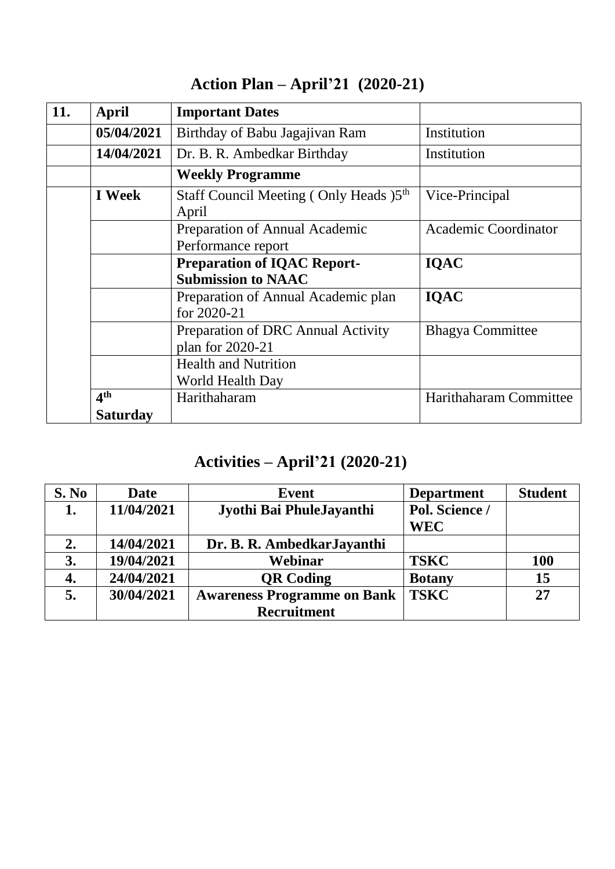| 11. | April           | <b>Important Dates</b>                                          |                             |
|-----|-----------------|-----------------------------------------------------------------|-----------------------------|
|     | 05/04/2021      | Birthday of Babu Jagajivan Ram                                  | Institution                 |
|     | 14/04/2021      | Dr. B. R. Ambedkar Birthday                                     | Institution                 |
|     |                 | <b>Weekly Programme</b>                                         |                             |
|     | <b>I</b> Week   | Staff Council Meeting (Only Heads) 5 <sup>th</sup><br>April     | Vice-Principal              |
|     |                 | Preparation of Annual Academic<br>Performance report            | <b>Academic Coordinator</b> |
|     |                 | <b>Preparation of IQAC Report-</b><br><b>Submission to NAAC</b> | <b>IQAC</b>                 |
|     |                 | Preparation of Annual Academic plan<br>for 2020-21              | <b>IQAC</b>                 |
|     |                 | Preparation of DRC Annual Activity<br>plan for 2020-21          | <b>Bhagya Committee</b>     |
|     |                 | <b>Health and Nutrition</b><br>World Health Day                 |                             |
|     | 4 <sup>th</sup> | Harithaharam                                                    | Harithaharam Committee      |
|     | Saturday        |                                                                 |                             |

## **Action Plan – April'21 (2020-21)**

## **Activities – April'21 (2020-21)**

| S. No | <b>Date</b> | Event                              | <b>Department</b> | <b>Student</b> |
|-------|-------------|------------------------------------|-------------------|----------------|
| 1.    | 11/04/2021  | Jyothi Bai PhuleJayanthi           | Pol. Science /    |                |
|       |             |                                    | <b>WEC</b>        |                |
| 2.    | 14/04/2021  | Dr. B. R. Ambedkar Jayanthi        |                   |                |
| 3.    | 19/04/2021  | Webinar                            | <b>TSKC</b>       | <b>100</b>     |
| 4.    | 24/04/2021  | <b>QR</b> Coding                   | <b>Botany</b>     | 15             |
| 5.    | 30/04/2021  | <b>Awareness Programme on Bank</b> | <b>TSKC</b>       | 27             |
|       |             | <b>Recruitment</b>                 |                   |                |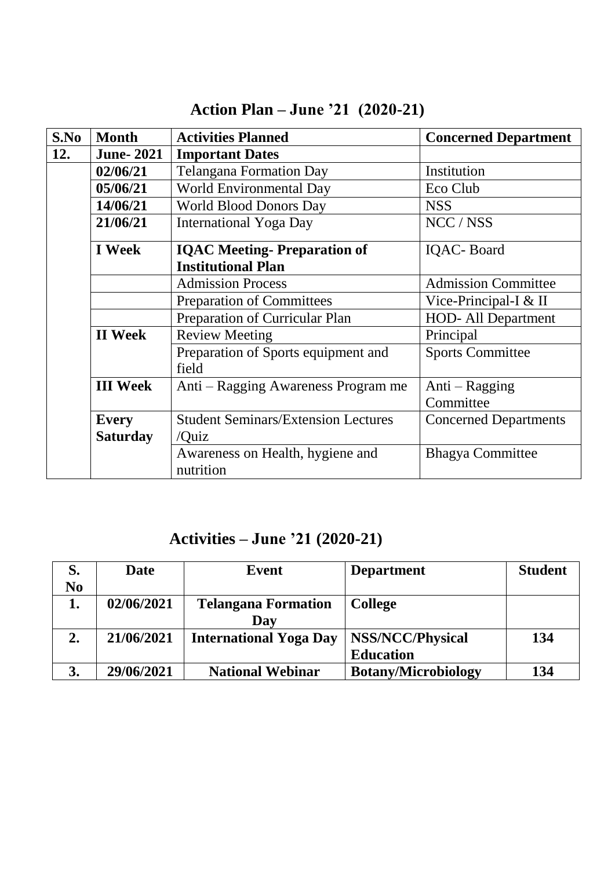| S.No | <b>Month</b>     | <b>Activities Planned</b>                     | <b>Concerned Department</b>  |
|------|------------------|-----------------------------------------------|------------------------------|
| 12.  | <b>June-2021</b> | <b>Important Dates</b>                        |                              |
|      | 02/06/21         | <b>Telangana Formation Day</b>                | Institution                  |
|      | 05/06/21         | World Environmental Day                       | Eco Club                     |
|      | 14/06/21         | <b>World Blood Donors Day</b>                 | <b>NSS</b>                   |
|      | 21/06/21         | <b>International Yoga Day</b>                 | NCC / NSS                    |
|      | <b>I</b> Week    | <b>IQAC Meeting-Preparation of</b>            | <b>IQAC-Board</b>            |
|      |                  | <b>Institutional Plan</b>                     |                              |
|      |                  | <b>Admission Process</b>                      | <b>Admission Committee</b>   |
|      |                  | <b>Preparation of Committees</b>              | Vice-Principal-I & II        |
|      |                  | Preparation of Curricular Plan                | <b>HOD-All Department</b>    |
|      | <b>II</b> Week   | <b>Review Meeting</b>                         | Principal                    |
|      |                  | Preparation of Sports equipment and           | <b>Sports Committee</b>      |
|      |                  | field                                         |                              |
|      | <b>III</b> Week  | Anti – Ragging Awareness Program me           | Anti – Ragging               |
|      |                  |                                               | Committee                    |
|      | <b>Every</b>     | <b>Student Seminars/Extension Lectures</b>    | <b>Concerned Departments</b> |
|      | <b>Saturday</b>  | /Quiz                                         |                              |
|      |                  | Awareness on Health, hygiene and<br>nutrition | <b>Bhagya Committee</b>      |

## **Action Plan – June '21 (2020-21)**

### **Activities – June '21 (2020-21)**

| S.             | Date       | Event                         | <b>Department</b>          | <b>Student</b> |
|----------------|------------|-------------------------------|----------------------------|----------------|
| N <sub>0</sub> |            |                               |                            |                |
| 1.             | 02/06/2021 | <b>Telangana Formation</b>    | <b>College</b>             |                |
|                |            | Day                           |                            |                |
| 2.             | 21/06/2021 | <b>International Yoga Day</b> | <b>NSS/NCC/Physical</b>    | 134            |
|                |            |                               | <b>Education</b>           |                |
| 3.             | 29/06/2021 | <b>National Webinar</b>       | <b>Botany/Microbiology</b> | 134            |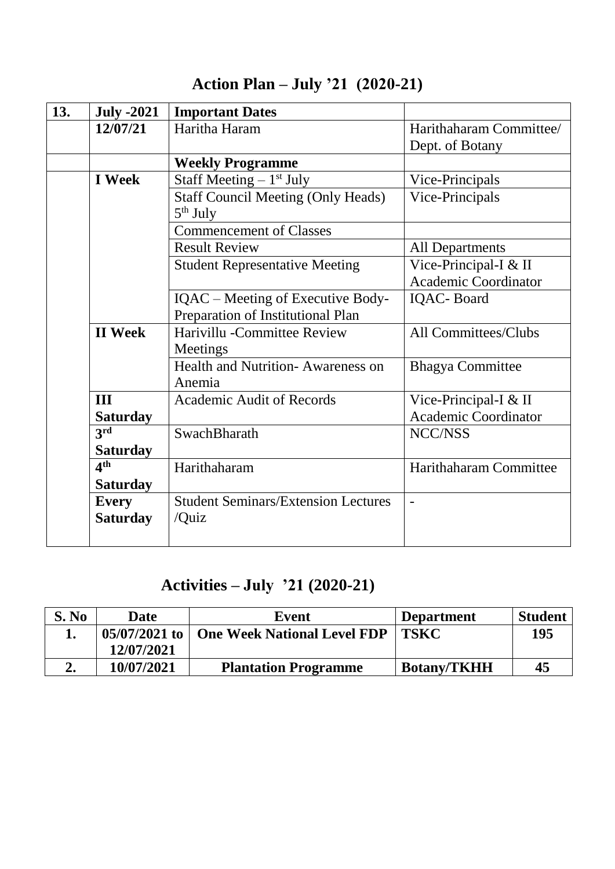| 13. | <b>July -2021</b> | <b>Important Dates</b>                     |                             |
|-----|-------------------|--------------------------------------------|-----------------------------|
|     | 12/07/21          | Haritha Haram                              | Harithaharam Committee/     |
|     |                   |                                            | Dept. of Botany             |
|     |                   | <b>Weekly Programme</b>                    |                             |
|     | <b>I</b> Week     | Staff Meeting $-1st$ July                  | Vice-Principals             |
|     |                   | <b>Staff Council Meeting (Only Heads)</b>  | Vice-Principals             |
|     |                   | $5th$ July                                 |                             |
|     |                   | <b>Commencement of Classes</b>             |                             |
|     |                   | <b>Result Review</b>                       | <b>All Departments</b>      |
|     |                   | <b>Student Representative Meeting</b>      | Vice-Principal-I & II       |
|     |                   |                                            | <b>Academic Coordinator</b> |
|     |                   | IQAC – Meeting of Executive Body-          | IQAC-Board                  |
|     |                   | Preparation of Institutional Plan          |                             |
|     | <b>II</b> Week    | Harivillu - Committee Review               | All Committees/Clubs        |
|     |                   | Meetings                                   |                             |
|     |                   | <b>Health and Nutrition-Awareness on</b>   | <b>Bhagya Committee</b>     |
|     |                   | Anemia                                     |                             |
|     | <b>III</b>        | <b>Academic Audit of Records</b>           | Vice-Principal-I & II       |
|     | <b>Saturday</b>   |                                            | <b>Academic Coordinator</b> |
|     | 3rd               | SwachBharath                               | NCC/NSS                     |
|     | <b>Saturday</b>   |                                            |                             |
|     | 4 <sup>th</sup>   | Harithaharam                               | Harithaharam Committee      |
|     | <b>Saturday</b>   |                                            |                             |
|     | <b>Every</b>      | <b>Student Seminars/Extension Lectures</b> |                             |
|     | <b>Saturday</b>   | /Quiz                                      |                             |
|     |                   |                                            |                             |

### **Action Plan – July '21 (2020-21)**

## **Activities – July '21 (2020-21)**

| S. No | Date                 | Event                              | <b>Department</b>  | <b>Student</b> |
|-------|----------------------|------------------------------------|--------------------|----------------|
|       | $+05/07/2021$ to $+$ | <b>One Week National Level FDP</b> | $\vert$ TSKC       | 195            |
|       | 12/07/2021           |                                    |                    |                |
|       | 10/07/2021           | <b>Plantation Programme</b>        | <b>Botany/TKHH</b> | 45             |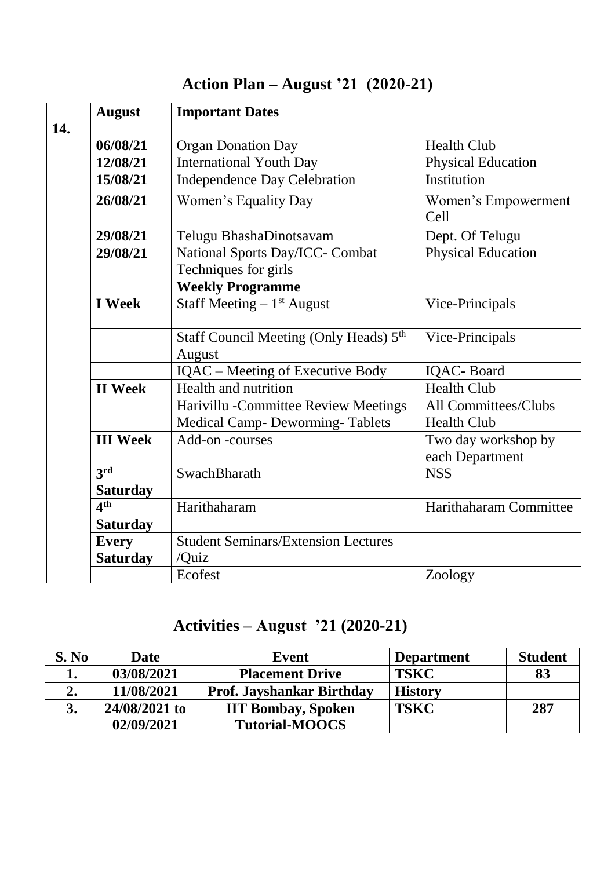|     | <b>August</b>   | <b>Important Dates</b>                                       |                                        |
|-----|-----------------|--------------------------------------------------------------|----------------------------------------|
| 14. |                 |                                                              |                                        |
|     | 06/08/21        | <b>Organ Donation Day</b>                                    | <b>Health Club</b>                     |
|     | 12/08/21        | <b>International Youth Day</b>                               | <b>Physical Education</b>              |
|     | 15/08/21        | <b>Independence Day Celebration</b>                          | Institution                            |
|     | 26/08/21        | Women's Equality Day                                         | Women's Empowerment<br>Cell            |
|     | 29/08/21        | Telugu BhashaDinotsavam                                      | Dept. Of Telugu                        |
|     | 29/08/21        | National Sports Day/ICC- Combat<br>Techniques for girls      | <b>Physical Education</b>              |
|     |                 | <b>Weekly Programme</b>                                      |                                        |
|     | <b>I</b> Week   | Staff Meeting $-1$ <sup>st</sup> August                      | Vice-Principals                        |
|     |                 | Staff Council Meeting (Only Heads) 5 <sup>th</sup><br>August | Vice-Principals                        |
|     |                 | IQAC – Meeting of Executive Body                             | <b>IQAC-Board</b>                      |
|     | <b>II</b> Week  | Health and nutrition                                         | <b>Health Club</b>                     |
|     |                 | Harivillu - Committee Review Meetings                        | All Committees/Clubs                   |
|     |                 | <b>Medical Camp- Deworming-Tablets</b>                       | <b>Health Club</b>                     |
|     | <b>III</b> Week | Add-on-courses                                               | Two day workshop by<br>each Department |
|     | 3 <sup>rd</sup> | SwachBharath                                                 | <b>NSS</b>                             |
|     | <b>Saturday</b> |                                                              |                                        |
|     | 4 <sup>th</sup> | Harithaharam                                                 | Harithaharam Committee                 |
|     | <b>Saturday</b> |                                                              |                                        |
|     | <b>Every</b>    | <b>Student Seminars/Extension Lectures</b>                   |                                        |
|     | <b>Saturday</b> | /Quiz                                                        |                                        |
|     |                 | Ecofest                                                      | Zoology                                |

## **Action Plan – August '21 (2020-21)**

### **Activities – August '21 (2020-21)**

| S. No | <b>Date</b>     | Event                            | <b>Department</b> | <b>Student</b> |
|-------|-----------------|----------------------------------|-------------------|----------------|
| ı.    | 03/08/2021      | <b>Placement Drive</b>           | <b>TSKC</b>       | 83             |
|       | 11/08/2021      | <b>Prof. Jayshankar Birthday</b> | <b>History</b>    |                |
|       | $24/08/2021$ to | <b>IIT Bombay, Spoken</b>        | <b>TSKC</b>       | 287            |
|       | 02/09/2021      | <b>Tutorial-MOOCS</b>            |                   |                |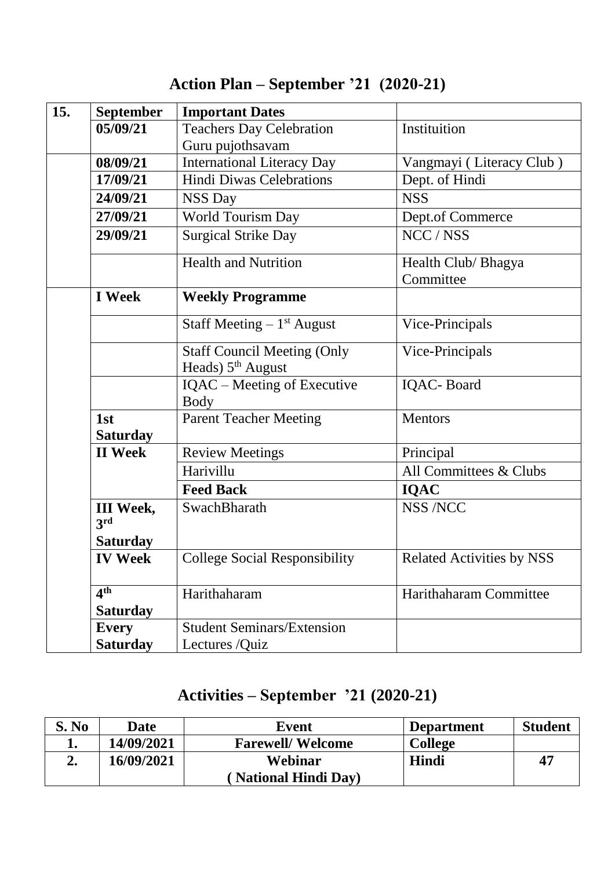| <b>September</b>        | <b>Important Dates</b>                            |                                  |
|-------------------------|---------------------------------------------------|----------------------------------|
| 05/09/21                | <b>Teachers Day Celebration</b>                   | Instituition                     |
|                         | Guru pujothsavam                                  |                                  |
| 08/09/21                | <b>International Literacy Day</b>                 | Vangmayi (Literacy Club)         |
| 17/09/21                | <b>Hindi Diwas Celebrations</b>                   | Dept. of Hindi                   |
| 24/09/21                | <b>NSS Day</b>                                    | <b>NSS</b>                       |
| 27/09/21                | <b>World Tourism Day</b>                          | Dept.of Commerce                 |
| 29/09/21                | <b>Surgical Strike Day</b>                        | NCC / NSS                        |
|                         | <b>Health and Nutrition</b>                       | Health Club/ Bhagya              |
|                         |                                                   | Committee                        |
| <b>I</b> Week           | <b>Weekly Programme</b>                           |                                  |
|                         | Staff Meeting $-1$ <sup>st</sup> August           | Vice-Principals                  |
|                         | <b>Staff Council Meeting (Only</b>                | Vice-Principals                  |
|                         | Heads) 5 <sup>th</sup> August                     |                                  |
|                         | <b>IQAC</b> – Meeting of Executive<br><b>Body</b> | <b>IQAC-Board</b>                |
| 1st                     | <b>Parent Teacher Meeting</b>                     | <b>Mentors</b>                   |
| <b>Saturday</b>         |                                                   |                                  |
| <b>II</b> Week          | <b>Review Meetings</b>                            | Principal                        |
|                         | Harivillu                                         | All Committees & Clubs           |
|                         | <b>Feed Back</b>                                  | <b>IQAC</b>                      |
| <b>III</b> Week,<br>3rd | SwachBharath                                      | <b>NSS /NCC</b>                  |
| <b>Saturday</b>         |                                                   |                                  |
| <b>IV Week</b>          | <b>College Social Responsibility</b>              | <b>Related Activities by NSS</b> |
| 4 <sup>th</sup>         | Harithaharam                                      | Harithaharam Committee           |
| <b>Saturday</b>         |                                                   |                                  |
| <b>Every</b>            | <b>Student Seminars/Extension</b>                 |                                  |
| <b>Saturday</b>         | Lectures /Quiz                                    |                                  |

## **Action Plan – September '21 (2020-21)**

### **Activities – September '21 (2020-21)**

| S. No | Date       | Event                       | <b>Department</b> | <b>Student</b> |
|-------|------------|-----------------------------|-------------------|----------------|
|       | 14/09/2021 | <b>Farewell/Welcome</b>     | College           |                |
|       | 16/09/2021 | Webinar                     | Hindi             | 47             |
|       |            | <b>National Hindi Dav</b> ) |                   |                |